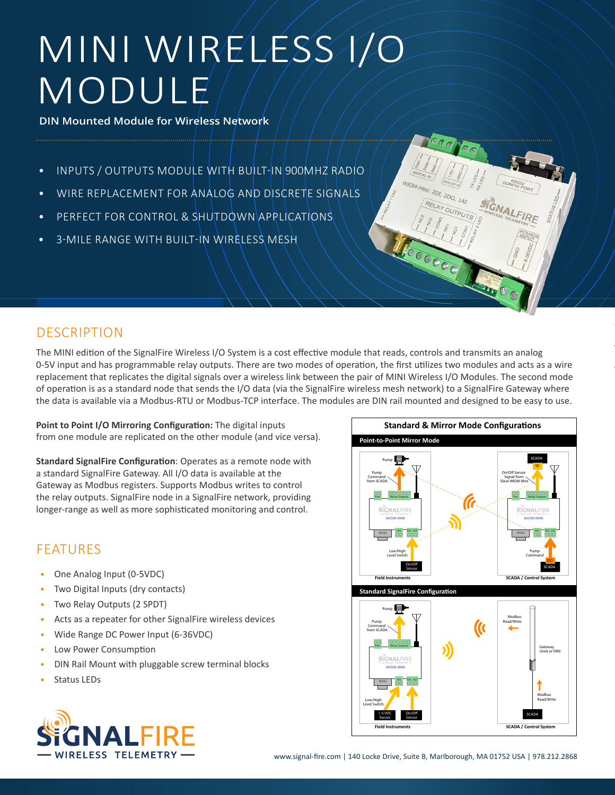# MINI WIRELESS I/O MODULE

**DIN Mounted Module for Wireless Network**

- INPUTS / OUTPUTS MODULE WITH BUILT-IN 900MHZ RADIO
- WIRE REPLACEMENT FOR ANALOG AND DISCRETE SIGNALS
- PERFECT FOR CONTROL & SHUTDOWN APPLICATIONS
- 3-MILE RANGE WITH BUILT-IN WIRELESS MESH



The MINI edition of the SignalFire Wireless I/O System is a cost effective module that reads, controls and transmits an analog 0-5V input and has programmable relay outputs. There are two modes of operation, the first utilizes two modules and acts as a wire replacement that replicates the digital signals over a wireless link between the pair of MINI Wireless I/O Modules. The second mode of operation is as a standard node that sends the I/O data (via the SignalFire wireless mesh network) to a SignalFire Gateway where the data is available via a Modbus-RTU or Modbus-TCP interface. The modules are DIN rail mounted and designed to be easy to use.

Point to Point I/O Mirroring Configuration: The digital inputs from one module are replicated on the other module (and vice versa).

**Standard SignalFire Configuration**: Operates as a remote node with a standard SignalFire Gateway. All I/O data is available at the Gateway as Modbus registers. Supports Modbus writes to control the relay outputs. SignalFire node in a SignalFire network, providing longer-range as well as more sophisticated monitoring and control.

### FEATURES

- One Analog Input (0-5VDC)
- Two Digital Inputs (dry contacts)
- Two Relay Outputs (2 SPDT)
- Acts as a repeater for other SignalFire wireless devices
- Wide Range DC Power Input (6-36VDC)
- Low Power Consumption
- DIN Rail Mount with pluggable screw terminal blocks
- Status LEDs